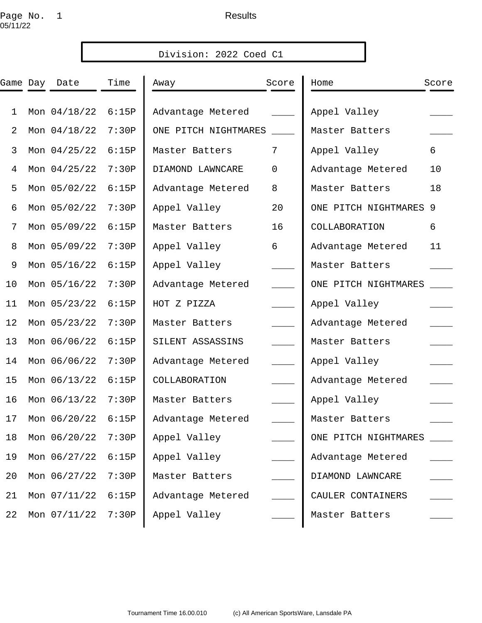## Page No. 1 and the set of the Results 05/11/22

|              |               |       | Division: 2022 Coed C1 |             |                        |       |
|--------------|---------------|-------|------------------------|-------------|------------------------|-------|
|              | Game Day Date | Time  | Away                   | Score       | Home                   | Score |
| $\mathbf{1}$ | Mon 04/18/22  | 6:15P | Advantage Metered      |             | Appel Valley           |       |
| 2            | Mon 04/18/22  | 7:30P | ONE PITCH NIGHTMARES   |             | Master Batters         |       |
| 3            | Mon 04/25/22  | 6:15P | Master Batters         | 7           | Appel Valley           | 6     |
| 4            | Mon 04/25/22  | 7:30P | DIAMOND LAWNCARE       | $\mathbf 0$ | Advantage Metered      | 10    |
| 5            | Mon 05/02/22  | 6:15P | Advantage Metered      | 8           | Master Batters         | 18    |
| 6            | Mon 05/02/22  | 7:30P | Appel Valley           | 20          | ONE PITCH NIGHTMARES 9 |       |
| 7            | Mon 05/09/22  | 6:15P | Master Batters         | 16          | COLLABORATION          | 6     |
| 8            | Mon 05/09/22  | 7:30P | Appel Valley           | 6           | Advantage Metered      | 11    |
| 9            | Mon 05/16/22  | 6:15P | Appel Valley           |             | Master Batters         |       |
| 10           | Mon 05/16/22  | 7:30P | Advantage Metered      |             | ONE PITCH NIGHTMARES   |       |
| 11           | Mon 05/23/22  | 6:15P | HOT Z PIZZA            |             | Appel Valley           |       |
| 12           | Mon 05/23/22  | 7:30P | Master Batters         |             | Advantage Metered      |       |
| 13           | Mon 06/06/22  | 6:15P | SILENT ASSASSINS       |             | Master Batters         |       |
| 14           | Mon 06/06/22  | 7:30P | Advantage Metered      |             | Appel Valley           |       |
| 15           | Mon 06/13/22  | 6:15P | COLLABORATION          |             | Advantage Metered      |       |
| 16           | Mon 06/13/22  | 7:30P | Master Batters         |             | Appel Valley           |       |
| 17           | Mon 06/20/22  | 6:15P | Advantage Metered      |             | Master Batters         |       |
| 18           | Mon 06/20/22  | 7:30P | Appel Valley           |             | ONE PITCH NIGHTMARES   |       |
| 19           | Mon 06/27/22  | 6:15P | Appel Valley           |             | Advantage Metered      |       |
| 20           | Mon 06/27/22  | 7:30P | Master Batters         |             | DIAMOND LAWNCARE       |       |
| 21           | Mon 07/11/22  | 6:15P | Advantage Metered      |             | CAULER CONTAINERS      |       |
| 22           | Mon 07/11/22  | 7:30P | Appel Valley           |             | Master Batters         |       |
|              |               |       |                        |             |                        |       |